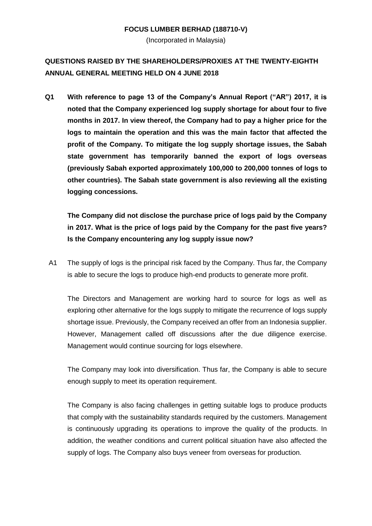#### **FOCUS LUMBER BERHAD (188710-V)**

(Incorporated in Malaysia)

# **QUESTIONS RAISED BY THE SHAREHOLDERS/PROXIES AT THE TWENTY-EIGHTH ANNUAL GENERAL MEETING HELD ON 4 JUNE 2018**

**Q1 With reference to page 13 of the Company's Annual Report ("AR") 2017, it is noted that the Company experienced log supply shortage for about four to five months in 2017. In view thereof, the Company had to pay a higher price for the logs to maintain the operation and this was the main factor that affected the profit of the Company. To mitigate the log supply shortage issues, the Sabah state government has temporarily banned the export of logs overseas (previously Sabah exported approximately 100,000 to 200,000 tonnes of logs to other countries). The Sabah state government is also reviewing all the existing logging concessions.** 

**The Company did not disclose the purchase price of logs paid by the Company in 2017. What is the price of logs paid by the Company for the past five years? Is the Company encountering any log supply issue now?**

A1 The supply of logs is the principal risk faced by the Company. Thus far, the Company is able to secure the logs to produce high-end products to generate more profit.

The Directors and Management are working hard to source for logs as well as exploring other alternative for the logs supply to mitigate the recurrence of logs supply shortage issue. Previously, the Company received an offer from an Indonesia supplier. However, Management called off discussions after the due diligence exercise. Management would continue sourcing for logs elsewhere.

The Company may look into diversification. Thus far, the Company is able to secure enough supply to meet its operation requirement.

The Company is also facing challenges in getting suitable logs to produce products that comply with the sustainability standards required by the customers. Management is continuously upgrading its operations to improve the quality of the products. In addition, the weather conditions and current political situation have also affected the supply of logs. The Company also buys veneer from overseas for production.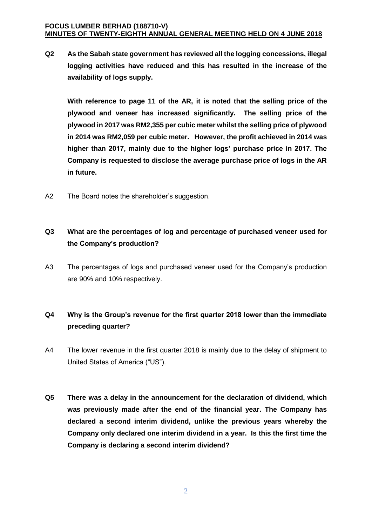**Q2 As the Sabah state government has reviewed all the logging concessions, illegal logging activities have reduced and this has resulted in the increase of the availability of logs supply.** 

**With reference to page 11 of the AR, it is noted that the selling price of the plywood and veneer has increased significantly. The selling price of the plywood in 2017 was RM2,355 per cubic meter whilst the selling price of plywood in 2014 was RM2,059 per cubic meter. However, the profit achieved in 2014 was higher than 2017, mainly due to the higher logs' purchase price in 2017. The Company is requested to disclose the average purchase price of logs in the AR in future.** 

A2 The Board notes the shareholder's suggestion.

### **Q3 What are the percentages of log and percentage of purchased veneer used for the Company's production?**

A3 The percentages of logs and purchased veneer used for the Company's production are 90% and 10% respectively.

### **Q4 Why is the Group's revenue for the first quarter 2018 lower than the immediate preceding quarter?**

- A4 The lower revenue in the first quarter 2018 is mainly due to the delay of shipment to United States of America ("US").
- **Q5 There was a delay in the announcement for the declaration of dividend, which was previously made after the end of the financial year. The Company has declared a second interim dividend, unlike the previous years whereby the Company only declared one interim dividend in a year. Is this the first time the Company is declaring a second interim dividend?**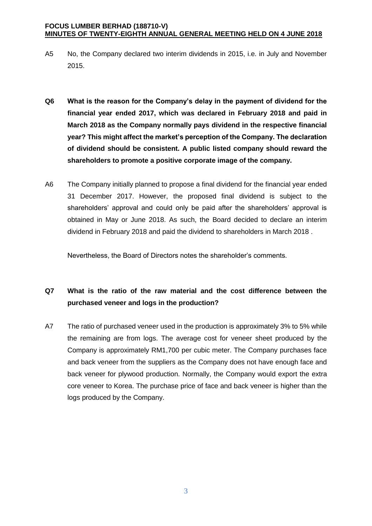- A5 No, the Company declared two interim dividends in 2015, i.e. in July and November 2015.
- **Q6 What is the reason for the Company's delay in the payment of dividend for the financial year ended 2017, which was declared in February 2018 and paid in March 2018 as the Company normally pays dividend in the respective financial year? This might affect the market's perception of the Company. The declaration of dividend should be consistent. A public listed company should reward the shareholders to promote a positive corporate image of the company.**
- A6 The Company initially planned to propose a final dividend for the financial year ended 31 December 2017. However, the proposed final dividend is subject to the shareholders' approval and could only be paid after the shareholders' approval is obtained in May or June 2018. As such, the Board decided to declare an interim dividend in February 2018 and paid the dividend to shareholders in March 2018 .

Nevertheless, the Board of Directors notes the shareholder's comments.

# **Q7 What is the ratio of the raw material and the cost difference between the purchased veneer and logs in the production?**

A7 The ratio of purchased veneer used in the production is approximately 3% to 5% while the remaining are from logs. The average cost for veneer sheet produced by the Company is approximately RM1,700 per cubic meter. The Company purchases face and back veneer from the suppliers as the Company does not have enough face and back veneer for plywood production. Normally, the Company would export the extra core veneer to Korea. The purchase price of face and back veneer is higher than the logs produced by the Company.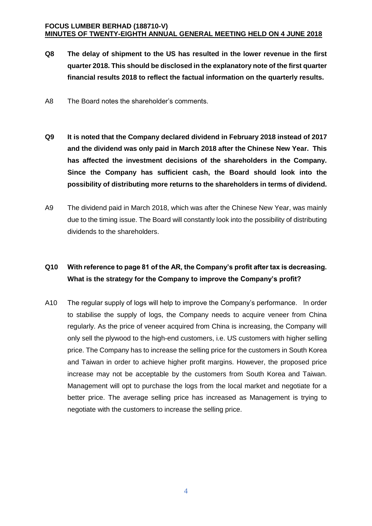- **Q8 The delay of shipment to the US has resulted in the lower revenue in the first quarter 2018. This should be disclosed in the explanatory note of the first quarter financial results 2018 to reflect the factual information on the quarterly results.**
- A8 The Board notes the shareholder's comments.
- **Q9 It is noted that the Company declared dividend in February 2018 instead of 2017 and the dividend was only paid in March 2018 after the Chinese New Year. This has affected the investment decisions of the shareholders in the Company. Since the Company has sufficient cash, the Board should look into the possibility of distributing more returns to the shareholders in terms of dividend.**
- A9 The dividend paid in March 2018, which was after the Chinese New Year, was mainly due to the timing issue. The Board will constantly look into the possibility of distributing dividends to the shareholders.

## **Q10 With reference to page 81 of the AR, the Company's profit after tax is decreasing. What is the strategy for the Company to improve the Company's profit?**

A10 The regular supply of logs will help to improve the Company's performance. In order to stabilise the supply of logs, the Company needs to acquire veneer from China regularly. As the price of veneer acquired from China is increasing, the Company will only sell the plywood to the high-end customers, i.e. US customers with higher selling price. The Company has to increase the selling price for the customers in South Korea and Taiwan in order to achieve higher profit margins. However, the proposed price increase may not be acceptable by the customers from South Korea and Taiwan. Management will opt to purchase the logs from the local market and negotiate for a better price. The average selling price has increased as Management is trying to negotiate with the customers to increase the selling price.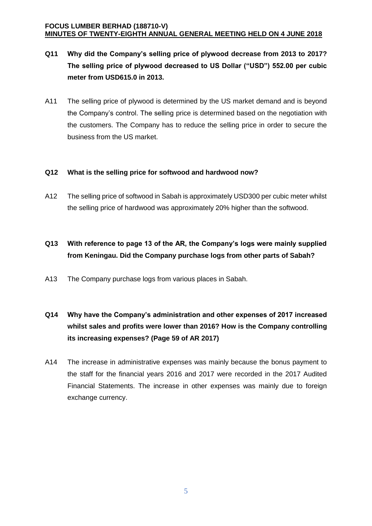- **Q11 Why did the Company's selling price of plywood decrease from 2013 to 2017? The selling price of plywood decreased to US Dollar ("USD") 552.00 per cubic meter from USD615.0 in 2013.**
- A11 The selling price of plywood is determined by the US market demand and is beyond the Company's control. The selling price is determined based on the negotiation with the customers. The Company has to reduce the selling price in order to secure the business from the US market.

#### **Q12 What is the selling price for softwood and hardwood now?**

A12 The selling price of softwood in Sabah is approximately USD300 per cubic meter whilst the selling price of hardwood was approximately 20% higher than the softwood.

# **Q13 With reference to page 13 of the AR, the Company's logs were mainly supplied from Keningau. Did the Company purchase logs from other parts of Sabah?**

A13 The Company purchase logs from various places in Sabah.

# **Q14 Why have the Company's administration and other expenses of 2017 increased whilst sales and profits were lower than 2016? How is the Company controlling its increasing expenses? (Page 59 of AR 2017)**

A14 The increase in administrative expenses was mainly because the bonus payment to the staff for the financial years 2016 and 2017 were recorded in the 2017 Audited Financial Statements. The increase in other expenses was mainly due to foreign exchange currency.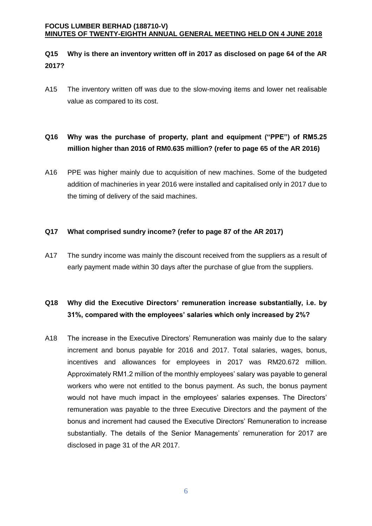#### **Q15 Why is there an inventory written off in 2017 as disclosed on page 64 of the AR 2017?**

A15 The inventory written off was due to the slow-moving items and lower net realisable value as compared to its cost.

## **Q16 Why was the purchase of property, plant and equipment ("PPE") of RM5.25 million higher than 2016 of RM0.635 million? (refer to page 65 of the AR 2016)**

A16 PPE was higher mainly due to acquisition of new machines. Some of the budgeted addition of machineries in year 2016 were installed and capitalised only in 2017 due to the timing of delivery of the said machines.

#### **Q17 What comprised sundry income? (refer to page 87 of the AR 2017)**

A17 The sundry income was mainly the discount received from the suppliers as a result of early payment made within 30 days after the purchase of glue from the suppliers.

### **Q18 Why did the Executive Directors' remuneration increase substantially, i.e. by 31%, compared with the employees' salaries which only increased by 2%?**

A18 The increase in the Executive Directors' Remuneration was mainly due to the salary increment and bonus payable for 2016 and 2017. Total salaries, wages, bonus, incentives and allowances for employees in 2017 was RM20.672 million. Approximately RM1.2 million of the monthly employees' salary was payable to general workers who were not entitled to the bonus payment. As such, the bonus payment would not have much impact in the employees' salaries expenses. The Directors' remuneration was payable to the three Executive Directors and the payment of the bonus and increment had caused the Executive Directors' Remuneration to increase substantially. The details of the Senior Managements' remuneration for 2017 are disclosed in page 31 of the AR 2017.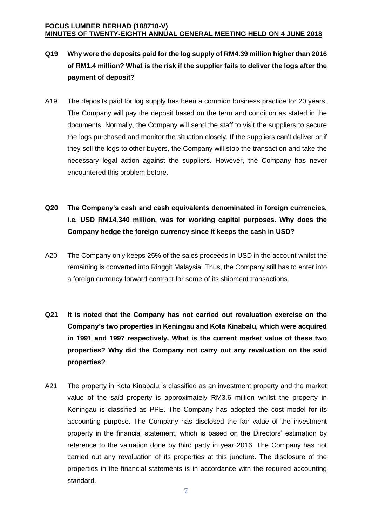- **Q19 Why were the deposits paid for the log supply of RM4.39 million higher than 2016 of RM1.4 million? What is the risk if the supplier fails to deliver the logs after the payment of deposit?**
- A19 The deposits paid for log supply has been a common business practice for 20 years. The Company will pay the deposit based on the term and condition as stated in the documents. Normally, the Company will send the staff to visit the suppliers to secure the logs purchased and monitor the situation closely. If the suppliers can't deliver or if they sell the logs to other buyers, the Company will stop the transaction and take the necessary legal action against the suppliers. However, the Company has never encountered this problem before.
- **Q20 The Company's cash and cash equivalents denominated in foreign currencies, i.e. USD RM14.340 million, was for working capital purposes. Why does the Company hedge the foreign currency since it keeps the cash in USD?**
- A20 The Company only keeps 25% of the sales proceeds in USD in the account whilst the remaining is converted into Ringgit Malaysia. Thus, the Company still has to enter into a foreign currency forward contract for some of its shipment transactions.
- **Q21 It is noted that the Company has not carried out revaluation exercise on the Company's two properties in Keningau and Kota Kinabalu, which were acquired in 1991 and 1997 respectively. What is the current market value of these two properties? Why did the Company not carry out any revaluation on the said properties?**
- A21 The property in Kota Kinabalu is classified as an investment property and the market value of the said property is approximately RM3.6 million whilst the property in Keningau is classified as PPE. The Company has adopted the cost model for its accounting purpose. The Company has disclosed the fair value of the investment property in the financial statement, which is based on the Directors' estimation by reference to the valuation done by third party in year 2016. The Company has not carried out any revaluation of its properties at this juncture. The disclosure of the properties in the financial statements is in accordance with the required accounting standard.